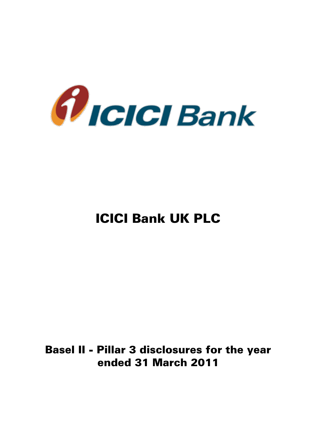

# ICICI Bank UK PLC

# Basel II - Pillar 3 disclosures for the year ended 31 March 2011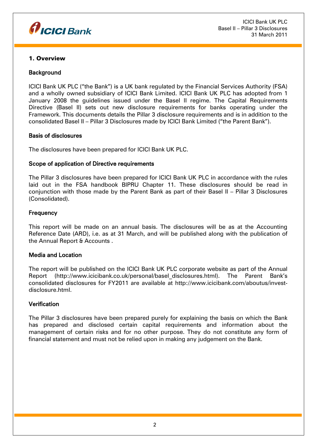

ICICI Bank UK PLC Basel II – Pillar 3 Disclosures 31 March 2011

# 1. Overview

# **Background**

ICICI Bank UK PLC ("the Bank") is a UK bank regulated by the Financial Services Authority (FSA) and a wholly owned subsidiary of ICICI Bank Limited. ICICI Bank UK PLC has adopted from 1 January 2008 the guidelines issued under the Basel II regime. The Capital Requirements Directive (Basel II) sets out new disclosure requirements for banks operating under the Framework. This documents details the Pillar 3 disclosure requirements and is in addition to the consolidated Basel II – Pillar 3 Disclosures made by ICICI Bank Limited ("the Parent Bank").

#### Basis of disclosures

The disclosures have been prepared for ICICI Bank UK PLC.

### Scope of application of Directive requirements

The Pillar 3 disclosures have been prepared for ICICI Bank UK PLC in accordance with the rules laid out in the FSA handbook BIPRU Chapter 11. These disclosures should be read in conjunction with those made by the Parent Bank as part of their Basel II – Pillar 3 Disclosures (Consolidated).

#### **Frequency**

This report will be made on an annual basis. The disclosures will be as at the Accounting Reference Date (ARD), i.e. as at 31 March, and will be published along with the publication of the Annual Report & Accounts.

#### Media and Location

The report will be published on the ICICI Bank UK PLC corporate website as part of the Annual Report (http://www.icicibank.co.uk/personal/basel\_disclosures.html). The Parent Bank's consolidated disclosures for FY2011 are available at http://www.icicibank.com/aboutus/investdisclosure.html.

#### **Verification**

The Pillar 3 disclosures have been prepared purely for explaining the basis on which the Bank has prepared and disclosed certain capital requirements and information about the management of certain risks and for no other purpose. They do not constitute any form of financial statement and must not be relied upon in making any judgement on the Bank.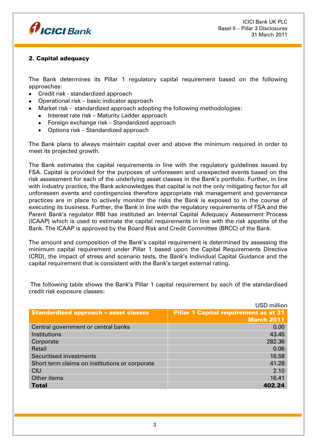

# 2. Capital adequacy

The Bank determines its Pillar 1 regulatory capital requirement based on the following approaches:

- Credit risk standardized approach
- Operational risk basic indicator approach
- Market risk standardized approach adopting the following methodologies:
	- Interest rate risk Maturity Ladder approach
	- Foreign exchange risk Standardized approach
	- Options risk Standardized approach

The Bank plans to always maintain capital over and above the minimum required in order to meet its projected growth.

The Bank estimates the capital requirements in line with the regulatory guidelines issued by FSA. Capital is provided for the purposes of unforeseen and unexpected events based on the risk assessment for each of the underlying asset classes in the Bank's portfolio. Further, in line with industry practice, the Bank acknowledges that capital is not the only mitigating factor for all unforeseen events and contingencies therefore appropriate risk management and governance practices are in place to actively monitor the risks the Bank is exposed to in the course of executing its business. Further, the Bank in line with the regulatory requirements of FSA and the Parent Bank's regulator RBI has instituted an Internal Capital Adequacy Assessment Process (ICAAP) which is used to estimate the capital requirements in line with the risk appetite of the Bank. The ICAAP is approved by the Board Risk and Credit Committee (BRCC) of the Bank.

The amount and composition of the Bank's capital requirement is determined by assessing the minimum capital requirement under Pillar 1 based upon the Capital Requirements Directive (CRD), the impact of stress and scenario tests, the Bank's Individual Capital Guidance and the capital requirement that is consistent with the Bank's target external rating.

|                                                | USD million                                  |
|------------------------------------------------|----------------------------------------------|
| <b>Standardised approach - asset classes</b>   | <b>Pillar 1 Capital requirement as at 31</b> |
|                                                | March 2011                                   |
| Central government or central banks            | 0.00                                         |
| Institutions                                   | 43.45                                        |
| Corporate                                      | 282.36                                       |
| Retail                                         | 0.06                                         |
| <b>Securitised investments</b>                 | 16.58                                        |
| Short term claims on institutions or corporate | 41.28                                        |
| CIU                                            | 2.10                                         |
| Other items                                    | 16.41                                        |
| <b>Total</b>                                   | 402.24                                       |

The following table shows the Bank's Pillar 1 capital requirement by each of the standardised credit risk exposure classes: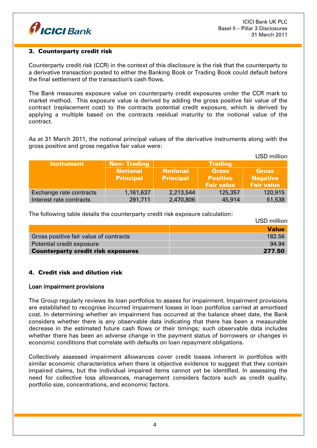

## 3. Counterparty credit risk

Counterparty credit risk (CCR) in the context of this disclosure is the risk that the counterparty to a derivative transaction posted to either the Banking Book or Trading Book could default before the final settlement of the transaction's cash flows.

The Bank measures exposure value on counterparty credit exposures under the CCR mark to market method. This exposure value is derived by adding the gross positive fair value of the contract (replacement cost) to the contracts potential credit exposure, which is derived by applying a multiple based on the contracts residual maturity to the notional value of the contract.

As at 31 March 2011, the notional principal values of the derivative instruments along with the gross positive and gross negative fair value were:

|                         |                    |                  |                   | USD million       |
|-------------------------|--------------------|------------------|-------------------|-------------------|
| <b>Instrument</b>       | <b>Non-Trading</b> |                  | <b>Trading</b>    |                   |
|                         | <b>Notional</b>    | <b>Notional</b>  | <b>Gross</b>      | <b>Gross</b>      |
|                         | <b>Principal</b>   | <b>Principal</b> | <b>Positive</b>   | <b>Negative</b>   |
|                         |                    |                  | <b>Fair value</b> | <b>Fair value</b> |
| Exchange rate contracts | 1,161,637          | 2,213,544        | 125,357           | 120,915           |
| Interest rate contracts | 291,711            | 2,470,806        | 45,914            | 51,538            |

The following table details the counterparty credit risk exposure calculation:

|                                           | USD million  |
|-------------------------------------------|--------------|
|                                           | <b>Value</b> |
| Gross positive fair value of contracts    | 182.56       |
| Potential credit exposure                 | 94.94        |
| <b>Counterparty credit risk exposures</b> | 277.50       |

# 4. Credit risk and dilution risk

#### Loan impairment provisions

The Group regularly reviews its loan portfolios to assess for impairment. Impairment provisions are established to recognise incurred impairment losses in loan portfolios carried at amortised cost. In determining whether an impairment has occurred at the balance sheet date, the Bank considers whether there is any observable data indicating that there has been a measurable decrease in the estimated future cash flows or their timings; such observable data includes whether there has been an adverse change in the payment status of borrowers or changes in economic conditions that correlate with defaults on loan repayment obligations.

Collectively assessed impairment allowances cover credit losses inherent in portfolios with similar economic characteristics when there is objective evidence to suggest that they contain impaired claims, but the individual impaired items cannot yet be identified. In assessing the need for collective loss allowances, management considers factors such as credit quality, portfolio size, concentrations, and economic factors.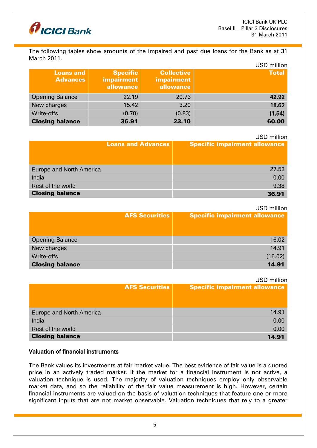

The following tables show amounts of the impaired and past due loans for the Bank as at 31 March 2011.

|                                          |                                                   |                                                     | USD million  |
|------------------------------------------|---------------------------------------------------|-----------------------------------------------------|--------------|
| Loans and $\parallel$<br><b>Advances</b> | <b>Specific</b><br><b>impairment</b><br>allowance | <b>Collective</b><br><b>impairment</b><br>allowance | <b>Total</b> |
| <b>Opening Balance</b>                   | 22.19                                             | 20.73                                               | 42.92        |
| New charges                              | 15.42                                             | 3.20                                                | 18.62        |
| Write-offs                               | (0.70)                                            | (0.83)                                              | (1.54)       |
| <b>Closing balance</b>                   | 36.91                                             | 23.10                                               | 60.00        |

#### USD million

|                          | <b>Loans and Advances</b> | <b>Specific impairment allowance</b> |
|--------------------------|---------------------------|--------------------------------------|
| Europe and North America |                           | 27.53                                |
| India                    |                           | 0.00                                 |
| Rest of the world        |                           | 9.38                                 |
| <b>Closing balance</b>   |                           | 36.91                                |

#### USD million

|                        | <b>AFS Securities</b> | <b>Specific impairment allowance</b> |
|------------------------|-----------------------|--------------------------------------|
|                        |                       |                                      |
| <b>Opening Balance</b> |                       | 16.02                                |
| New charges            |                       | 14.91                                |
| Write-offs             |                       | (16.02)                              |
| <b>Closing balance</b> |                       | 14.91                                |

|                          |                       | USD million                          |
|--------------------------|-----------------------|--------------------------------------|
|                          | <b>AFS Securities</b> | <b>Specific impairment allowance</b> |
|                          |                       |                                      |
|                          |                       |                                      |
| Europe and North America |                       | 14.91                                |
| India                    |                       | 0.00                                 |
| Rest of the world        |                       | 0.00                                 |
| <b>Closing balance</b>   |                       | 14.91                                |

### Valuation of financial instruments

The Bank values its investments at fair market value. The best evidence of fair value is a quoted price in an actively traded market. If the market for a financial instrument is not active, a valuation technique is used. The majority of valuation techniques employ only observable market data, and so the reliability of the fair value measurement is high. However, certain financial instruments are valued on the basis of valuation techniques that feature one or more significant inputs that are not market observable. Valuation techniques that rely to a greater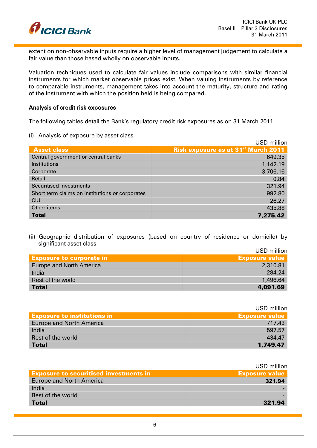

 $U \cap D$ 

USD million

extent on non-observable inputs require a higher level of management judgement to calculate a fair value than those based wholly on observable inputs.

Valuation techniques used to calculate fair values include comparisons with similar financial instruments for which market observable prices exist. When valuing instruments by reference to comparable instruments, management takes into account the maturity, structure and rating of the instrument with which the position held is being compared.

#### Analysis of credit risk exposures

The following tables detail the Bank's regulatory credit risk exposures as on 31 March 2011.

(i) Analysis of exposure by asset class

|                                                 | USD million                                     |
|-------------------------------------------------|-------------------------------------------------|
| <b>Asset class</b>                              | Risk exposure as at 31 <sup>st</sup> March 2011 |
| Central government or central banks             | 649.35                                          |
| Institutions                                    | 1,142.19                                        |
| Corporate                                       | 3,706.16                                        |
| Retail                                          | 0.84                                            |
| Securitised investments                         | 321.94                                          |
| Short term claims on institutions or corporates | 992.80                                          |
| <b>CIU</b>                                      | 26.27                                           |
| Other items                                     | 435.88                                          |
| <b>Total</b>                                    | 7,275.42                                        |

(ii) Geographic distribution of exposures (based on country of residence or domicile) by significant asset class

|                                 | USD Million           |
|---------------------------------|-----------------------|
| <b>Exposure to corporate in</b> | <b>Exposure value</b> |
| Europe and North America        | 2,310.81              |
| India                           | 284.24                |
| Rest of the world               | 1,496.64              |
| <b>Total</b>                    | 4,091.69              |

|                                    | USD million           |
|------------------------------------|-----------------------|
| <b>Exposure to institutions in</b> | <b>Exposure value</b> |
| <b>Europe and North America</b>    | 717.43                |
| India                              | 597.57                |
| Rest of the world                  | 434.47                |
| <b>Total</b>                       | 1,749.47              |

|                                               | -----------           |
|-----------------------------------------------|-----------------------|
| <b>Exposure to securitised investments in</b> | <b>Exposure value</b> |
| <b>Europe and North America</b>               | 321.94                |
| India                                         |                       |
| Rest of the world                             |                       |
| <b>Total</b>                                  | 321.94                |
|                                               |                       |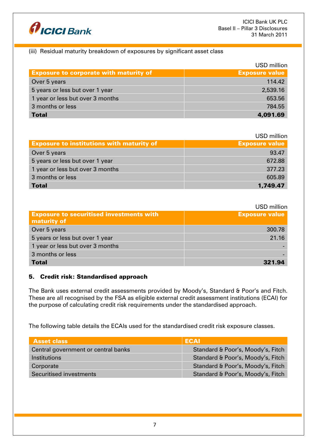

# (iii) Residual maturity breakdown of exposures by significant asset class

|                                               | USD million           |
|-----------------------------------------------|-----------------------|
| <b>Exposure to corporate with maturity of</b> | <b>Exposure value</b> |
| Over 5 years                                  | 114.42                |
| 5 years or less but over 1 year               | 2,539.16              |
| 1 year or less but over 3 months              | 653.56                |
| 3 months or less                              | 784.55                |
| <b>Total</b>                                  | 4,091.69              |

USD million

| <b>000 11111111111111111</b> |
|------------------------------|
| <b>Exposure value</b>        |
| 93.47                        |
| 672.88                       |
| 377.23                       |
| 605.89                       |
| 1,749.47                     |
|                              |

#### USD million Exposure to securitised investments with maturity of Exposure value Over 5 years 300.78 5 years or less but over 1 year 21.16 1 year or less but over 3 months 3 months or less - Total 321.94

# 5. Credit risk: Standardised approach

The Bank uses external credit assessments provided by Moody's, Standard & Poor's and Fitch. These are all recognised by the FSA as eligible external credit assessment institutions (ECAI) for the purpose of calculating credit risk requirements under the standardised approach.

The following table details the ECAIs used for the standardised credit risk exposure classes.

| <b>Asset class</b>                  | <b>ECAI</b>                       |
|-------------------------------------|-----------------------------------|
| Central government or central banks | Standard & Poor's, Moody's, Fitch |
| Institutions                        | Standard & Poor's, Moody's, Fitch |
| Corporate                           | Standard & Poor's, Moody's, Fitch |
| Securitised investments             | Standard & Poor's, Moody's, Fitch |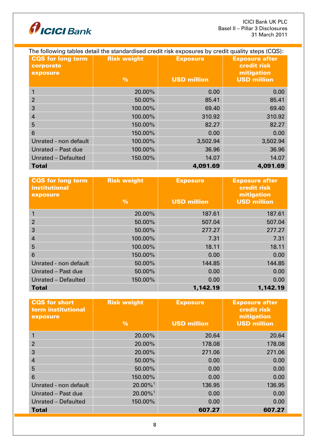

ICICI Bank UK PLC Basel II – Pillar 3 Disclosures 31 March 2011

| The following tables detail the standardised credit risk exposures by credit quality steps (CQS): |                                     |                                       |                                                                          |
|---------------------------------------------------------------------------------------------------|-------------------------------------|---------------------------------------|--------------------------------------------------------------------------|
| <b>CQS</b> for long term<br>corporate<br>exposure                                                 | <b>Risk weight</b><br>$\frac{9}{6}$ | <b>Exposure</b><br><b>USD million</b> | <b>Exposure after</b><br>credit risk<br>mitigation<br><b>USD million</b> |
| 1                                                                                                 | 20.00%                              | 0.00                                  | 0.00                                                                     |
| $\overline{2}$                                                                                    | 50.00%                              | 85.41                                 | 85.41                                                                    |
| 3                                                                                                 | 100.00%                             | 69.40                                 | 69.40                                                                    |
| 4                                                                                                 | 100.00%                             | 310.92                                | 310.92                                                                   |
| 5                                                                                                 | 150.00%                             | 82.27                                 | 82.27                                                                    |
| 6                                                                                                 | 150.00%                             | 0.00                                  | 0.00                                                                     |
| Unrated - non default                                                                             | 100.00%                             | 3,502.94                              | 3,502.94                                                                 |
| Unrated - Past due                                                                                | 100.00%                             | 36.96                                 | 36.96                                                                    |
| Unrated - Defaulted                                                                               | 150.00%                             | 14.07                                 | 14.07                                                                    |
| <b>Total</b>                                                                                      |                                     | 4,091.69                              | 4,091.69                                                                 |

| <b>CQS</b> for long term<br><b>institutional</b><br>exposure | <b>Risk weight</b><br>$\frac{9}{6}$ | <b>Exposure</b><br><b>USD million</b> | <b>Exposure after</b><br>credit risk<br>mitigation<br><b>USD million</b> |
|--------------------------------------------------------------|-------------------------------------|---------------------------------------|--------------------------------------------------------------------------|
| 1                                                            | 20.00%                              | 187.61                                | 187.61                                                                   |
| $\overline{2}$                                               | 50.00%                              | 507.04                                | 507.04                                                                   |
| 3                                                            | 50.00%                              | 277.27                                | 277.27                                                                   |
| 4                                                            | 100.00%                             | 7.31                                  | 7.31                                                                     |
| 5                                                            | 100.00%                             | 18.11                                 | 18.11                                                                    |
| 6                                                            | 150.00%                             | 0.00                                  | 0.00                                                                     |
| Unrated - non default                                        | 50.00%                              | 144.85                                | 144.85                                                                   |
| Unrated - Past due                                           | 50.00%                              | 0.00                                  | 0.00                                                                     |
| Unrated - Defaulted                                          | 150,00%                             | 0.00                                  | 0.00                                                                     |
| <b>Total</b>                                                 |                                     | 1,142.19                              | 1,142.19                                                                 |

| <b>CQS</b> for short<br>term institutional<br>exposure | <b>Risk weight</b><br>$\frac{0}{0}$ | <b>Exposure</b><br><b>USD million</b> | <b>Exposure after</b><br>credit risk<br>mitigation<br><b>USD million</b> |
|--------------------------------------------------------|-------------------------------------|---------------------------------------|--------------------------------------------------------------------------|
|                                                        | 20,00%                              | 20.64                                 | 20.64                                                                    |
| $\overline{2}$                                         | 20.00%                              | 178.08                                | 178.08                                                                   |
| 3                                                      | 20.00%                              | 271.06                                | 271.06                                                                   |
| 4                                                      | 50.00%                              | 0.00                                  | 0.00                                                                     |
| 5                                                      | 50.00%                              | 0.00                                  | 0.00                                                                     |
| 6                                                      | 150.00%                             | 0.00                                  | 0.00                                                                     |
| Unrated - non default                                  | $20.00\%$ <sup>1</sup>              | 136.95                                | 136.95                                                                   |
| Unrated - Past due                                     | $20.00\%$ <sup>1</sup>              | 0.00                                  | 0.00                                                                     |
| Unrated - Defaulted                                    | 150.00%                             | 0.00                                  | 0.00                                                                     |
| <b>Total</b>                                           |                                     | 607.27                                | 607.27                                                                   |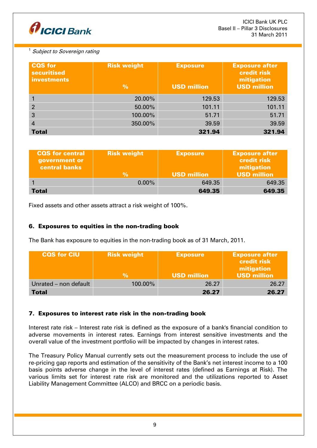

# $^1$  Subject to Sovereign rating

| <b>CQS</b> for<br><b>securitised</b><br><b>investments</b> | <b>Risk weight</b><br>$\frac{9}{6}$ | <b>Exposure</b><br><b>USD million</b> | <b>Exposure after</b><br><b>credit risk</b><br>mitigation<br><b>USD million</b> |
|------------------------------------------------------------|-------------------------------------|---------------------------------------|---------------------------------------------------------------------------------|
|                                                            | 20.00%                              | 129.53                                | 129.53                                                                          |
| $\overline{2}$                                             | 50.00%                              | 101.11                                | 101.11                                                                          |
| 3                                                          | 100.00%                             | 51.71                                 | 51.71                                                                           |
| 4                                                          | 350.00%                             | 39.59                                 | 39.59                                                                           |
| <b>Total</b>                                               |                                     | 321.94                                | 321.94                                                                          |

| <b>CQS</b> for central<br>government or<br><b>central banks</b> | <b>Risk weight</b> | <b>Exposure</b>    | <b>Exposure after</b><br><b>credit risk</b><br>mitigation |
|-----------------------------------------------------------------|--------------------|--------------------|-----------------------------------------------------------|
|                                                                 | %                  | <b>USD million</b> | <b>USD million</b>                                        |
|                                                                 | $0.00\%$           | 649.35             | 649.35                                                    |
| Total                                                           |                    | 649.35             | 649.35                                                    |

Fixed assets and other assets attract a risk weight of 100%.

# 6. Exposures to equities in the non-trading book

The Bank has exposure to equities in the non-trading book as of 31 March, 2011.

| <b>CQS for CIU</b>    | <b>Risk weight</b><br>% | <b>Exposure</b><br><b>USD million</b> | <b>Exposure after</b><br>credit risk<br>mitigation<br><b>USD million</b> |
|-----------------------|-------------------------|---------------------------------------|--------------------------------------------------------------------------|
| Unrated - non default | 100.00%                 | 26.27                                 | 26.27                                                                    |
| <b>Total</b>          |                         | 26.27                                 | 26.27                                                                    |

# 7. Exposures to interest rate risk in the non-trading book

Interest rate risk – Interest rate risk is defined as the exposure of a bank's financial condition to adverse movements in interest rates. Earnings from interest sensitive investments and the overall value of the investment portfolio will be impacted by changes in interest rates.

The Treasury Policy Manual currently sets out the measurement process to include the use of re-pricing gap reports and estimation of the sensitivity of the Bank's net interest income to a 100 basis points adverse change in the level of interest rates (defined as Earnings at Risk). The various limits set for interest rate risk are monitored and the utilizations reported to Asset Liability Management Committee (ALCO) and BRCC on a periodic basis.